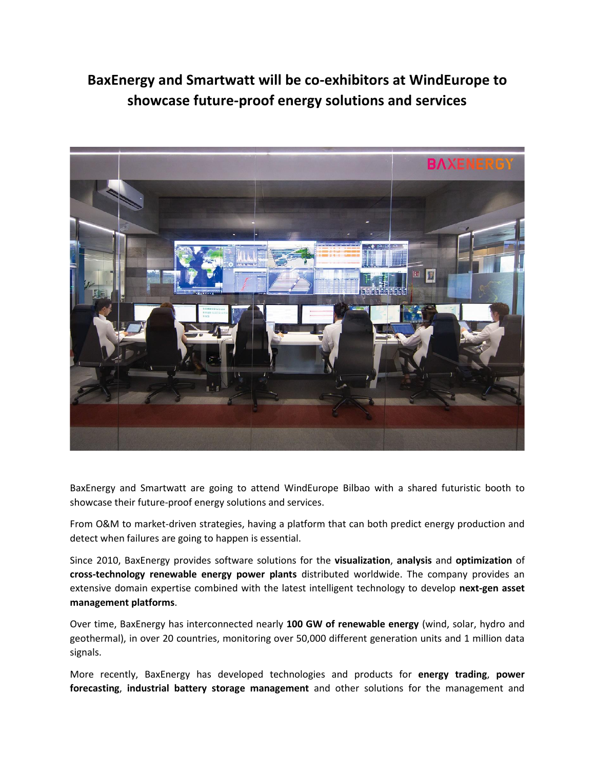## **BaxEnergy and Smartwatt will be co-exhibitors at WindEurope to showcase future-proof energy solutions and services**



BaxEnergy and Smartwatt are going to attend WindEurope Bilbao with a shared futuristic booth to showcase their future-proof energy solutions and services.

From O&M to market-driven strategies, having a platform that can both predict energy production and detect when failures are going to happen is essential.

Since 2010, BaxEnergy provides software solutions for the **visualization**, **analysis** and **optimization** of **cross-technology renewable energy power plants** distributed worldwide. The company provides an extensive domain expertise combined with the latest intelligent technology to develop **next-gen asset management platforms**.

Over time, BaxEnergy has interconnected nearly **100 GW of renewable energy** (wind, solar, hydro and geothermal), in over 20 countries, monitoring over 50,000 different generation units and 1 million data signals.

More recently, BaxEnergy has developed technologies and products for **energy trading**, **power forecasting**, **industrial battery storage management** and other solutions for the management and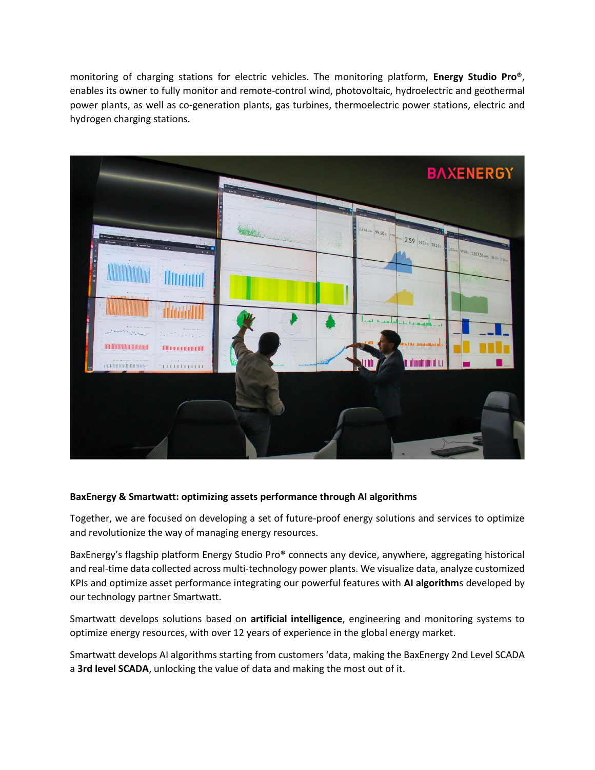monitoring of charging stations for electric vehicles. The monitoring platform, **Energy Studio Pro®**, enables its owner to fully monitor and remote-control wind, photovoltaic, hydroelectric and geothermal power plants, as well as co-generation plants, gas turbines, thermoelectric power stations, electric and hydrogen charging stations.



## **BaxEnergy & Smartwatt: optimizing assets performance through AI algorithms**

Together, we are focused on developing a set of future-proof energy solutions and services to optimize and revolutionize the way of managing energy resources.

BaxEnergy's flagship platform Energy Studio Pro® connects any device, anywhere, aggregating historical and real-time data collected across multi-technology power plants. We visualize data, analyze customized KPIs and optimize asset performance integrating our powerful features with **AI algorithm**s developed by our technology partner Smartwatt.

Smartwatt develops solutions based on **artificial intelligence**, engineering and monitoring systems to optimize energy resources, with over 12 years of experience in the global energy market.

Smartwatt develops AI algorithms starting from customers 'data, making the BaxEnergy 2nd Level SCADA a **3rd level SCADA**, unlocking the value of data and making the most out of it.